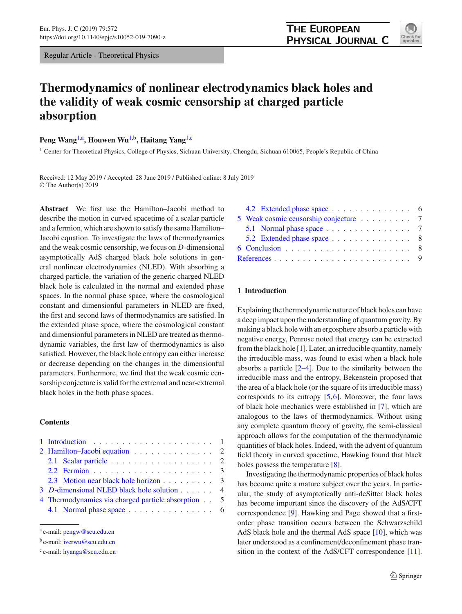Regular Article - Theoretical Physics

# **Thermodynamics of nonlinear electrodynamics black holes and the validity of weak cosmic censorship at charged particle absorption**

**Peng Wang**1,a**, Houwen Wu**1,b**, Haitang Yang**1,c

<sup>1</sup> Center for Theoretical Physics, College of Physics, Sichuan University, Chengdu, Sichuan 610065, People's Republic of China

Received: 12 May 2019 / Accepted: 28 June 2019 / Published online: 8 July 2019 © The Author(s) 2019

**Abstract** We first use the Hamilton–Jacobi method to describe the motion in curved spacetime of a scalar particle and a fermion, which are shown to satisfy the same Hamilton– Jacobi equation. To investigate the laws of thermodynamics and the weak cosmic censorship, we focus on *D*-dimensional asymptotically AdS charged black hole solutions in general nonlinear electrodynamics (NLED). With absorbing a charged particle, the variation of the generic charged NLED black hole is calculated in the normal and extended phase spaces. In the normal phase space, where the cosmological constant and dimensionful parameters in NLED are fixed, the first and second laws of thermodynamics are satisfied. In the extended phase space, where the cosmological constant and dimensionful parameters in NLED are treated as thermodynamic variables, the first law of thermodynamics is also satisfied. However, the black hole entropy can either increase or decrease depending on the changes in the dimensionful parameters. Furthermore, we find that the weak cosmic censorship conjecture is valid for the extremal and near-extremal black holes in the both phase spaces.

## **Contents**

| 2 Hamilton-Jacobi equation 2                                      |  |  |
|-------------------------------------------------------------------|--|--|
| 2.1 Scalar particle $\ldots \ldots \ldots \ldots \ldots \ldots 2$ |  |  |
|                                                                   |  |  |
| 2.3 Motion near black hole horizon 3                              |  |  |
| 3 D-dimensional NLED black hole solution 4                        |  |  |
| 4 Thermodynamics via charged particle absorption 5                |  |  |
| 4.1 Normal phase space 6                                          |  |  |

[4.2 Extended phase space](#page-5-1) .............. 6 [5 Weak cosmic censorship conjecture](#page-6-0) ......... 7 [5.1 Normal phase space](#page-6-1) . . . . . . . . . . . . . . . 7 [5.2 Extended phase space](#page-7-0) . . . . . . . . . . . . . 8 [6 Conclusion](#page-7-1) ...................... 8 [References](#page-8-0) ........................ 9

# <span id="page-0-0"></span>**1 Introduction**

Explaining the thermodynamic nature of black holes can have a deep impact upon the understanding of quantum gravity. By making a black hole with an ergosphere absorb a particle with negative energy, Penrose noted that energy can be extracted from the black hole  $[1]$  $[1]$ . Later, an irreducible quantity, namely the irreducible mass, was found to exist when a black hole absorbs a particle [\[2](#page-8-2)[–4\]](#page-8-3). Due to the similarity between the irreducible mass and the entropy, Bekenstein proposed that the area of a black hole (or the square of its irreducible mass) corresponds to its entropy  $[5,6]$  $[5,6]$  $[5,6]$ . Moreover, the four laws of black hole mechanics were established in [\[7\]](#page-8-6), which are analogous to the laws of thermodynamics. Without using any complete quantum theory of gravity, the semi-classical approach allows for the computation of the thermodynamic quantities of black holes. Indeed, with the advent of quantum field theory in curved spacetime, Hawking found that black holes possess the temperature [\[8](#page-8-7)].

Investigating the thermodynamic properties of black holes has become quite a mature subject over the years. In particular, the study of asymptotically anti-deSitter black holes has become important since the discovery of the AdS/CFT correspondence [\[9\]](#page-8-8). Hawking and Page showed that a firstorder phase transition occurs between the Schwarzschild AdS black hole and the thermal AdS space [\[10\]](#page-8-9), which was later understood as a confinement/deconfinement phase transition in the context of the AdS/CFT correspondence [\[11](#page-8-10)].



<sup>a</sup> e-mail: [pengw@scu.edu.cn](mailto:pengw@scu.edu.cn)

<sup>b</sup> e-mail: [iverwu@scu.edu.cn](mailto:iverwu@scu.edu.cn)

<sup>c</sup> e-mail: [hyanga@scu.edu.cn](mailto:hyanga@scu.edu.cn)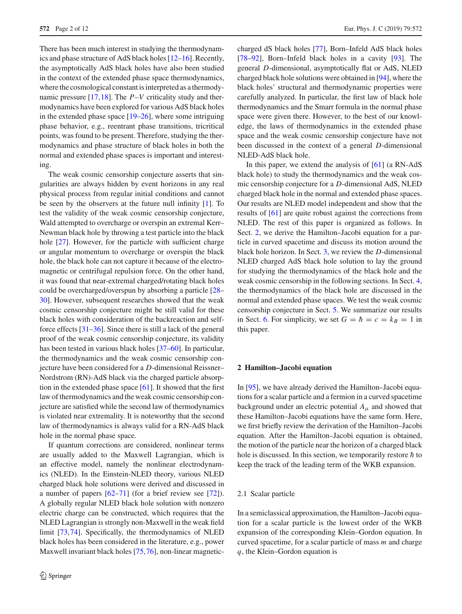There has been much interest in studying the thermodynamics and phase structure of AdS black holes [\[12](#page-8-11)[–16](#page-8-12)]. Recently, the asymptotically AdS black holes have also been studied in the context of the extended phase space thermodynamics, where the cosmological constant is interpreted as a thermodynamic pressure [\[17,](#page-8-13)[18\]](#page-8-14). The *P*–*V* criticality study and thermodynamics have been explored for various AdS black holes in the extended phase space  $[19–26]$  $[19–26]$ , where some intriguing phase behavior, e.g., reentrant phase transitions, tricritical points, was found to be present. Therefore, studying the thermodynamics and phase structure of black holes in both the normal and extended phase spaces is important and interesting.

The weak cosmic censorship conjecture asserts that singularities are always hidden by event horizons in any real physical process from regular initial conditions and cannot be seen by the observers at the future null infinity [\[1\]](#page-8-1). To test the validity of the weak cosmic censorship conjecture, Wald attempted to overcharge or overspin an extremal Kerr– Newman black hole by throwing a test particle into the black hole [\[27](#page-9-1)]. However, for the particle with sufficient charge or angular momentum to overcharge or overspin the black hole, the black hole can not capture it because of the electromagnetic or centrifugal repulsion force. On the other hand, it was found that near-extremal charged/rotating black holes could be overcharged/overspun by absorbing a particle [\[28](#page-9-2)– [30\]](#page-9-3). However, subsequent researches showed that the weak cosmic censorship conjecture might be still valid for these black holes with consideration of the backreaction and selfforce effects [\[31](#page-9-4)[–36](#page-9-5)]. Since there is still a lack of the general proof of the weak cosmic censorship conjecture, its validity has been tested in various black holes [\[37](#page-9-6)[–60](#page-9-7)]. In particular, the thermodynamics and the weak cosmic censorship conjecture have been considered for a *D*-dimensional Reissner– Nordstrom (RN)-AdS black via the charged particle absorption in the extended phase space [\[61](#page-10-0)]. It showed that the first law of thermodynamics and the weak cosmic censorship conjecture are satisfied while the second law of thermodynamics is violated near extremality. It is noteworthy that the second law of thermodynamics is always valid for a RN-AdS black hole in the normal phase space.

If quantum corrections are considered, nonlinear terms are usually added to the Maxwell Lagrangian, which is an effective model, namely the nonlinear electrodynamics (NLED). In the Einstein-NLED theory, various NLED charged black hole solutions were derived and discussed in a number of papers [\[62](#page-10-1)[–71](#page-10-2)] (for a brief review see [\[72](#page-10-3)]). A globally regular NLED black hole solution with nonzero electric charge can be constructed, which requires that the NLED Lagrangian is strongly non-Maxwell in the weak field limit [\[73](#page-10-4),[74](#page-10-5)]. Specifically, the thermodynamics of NLED black holes has been considered in the literature, e.g., power Maxwell invariant black holes [\[75](#page-10-6),[76](#page-10-7)], non-linear magneticcharged dS black holes [\[77\]](#page-10-8), Born–Infeld AdS black holes [\[78](#page-10-9)[–92](#page-10-10)], Born–Infeld black holes in a cavity [\[93\]](#page-10-11). The general *D*-dimensional, asymptotically flat or AdS, NLED charged black hole solutions were obtained in [\[94\]](#page-10-12), where the black holes' structural and thermodynamic properties were carefully analyzed. In particular, the first law of black hole thermodynamics and the Smarr formula in the normal phase space were given there. However, to the best of our knowledge, the laws of thermodynamics in the extended phase space and the weak cosmic censorship conjecture have not been discussed in the context of a general *D*-dimensional NLED-AdS black hole.

In this paper, we extend the analysis of  $[61]$  $[61]$  (a RN-AdS black hole) to study the thermodynamics and the weak cosmic censorship conjecture for a *D*-dimensional AdS, NLED charged black hole in the normal and extended phase spaces. Our results are NLED model independent and show that the results of [\[61\]](#page-10-0) are quite robust against the corrections from NLED. The rest of this paper is organized as follows. In Sect. [2,](#page-1-0) we derive the Hamilton–Jacobi equation for a particle in curved spacetime and discuss its motion around the black hole horizon. In Sect. [3,](#page-3-0) we review the *D*-dimensional NLED charged AdS black hole solution to lay the ground for studying the thermodynamics of the black hole and the weak cosmic censorship in the following sections. In Sect. [4,](#page-4-0) the thermodynamics of the black hole are discussed in the normal and extended phase spaces. We test the weak cosmic censorship conjecture in Sect. [5.](#page-6-0) We summarize our results in Sect. [6.](#page-7-1) For simplicity, we set  $G = \hbar = c = k_B = 1$  in this paper.

#### <span id="page-1-0"></span>**2 Hamilton–Jacobi equation**

In [\[95](#page-11-0)], we have already derived the Hamilton–Jacobi equations for a scalar particle and a fermion in a curved spacetime background under an electric potential  $A_{\mu}$  and showed that these Hamilton–Jacobi equations have the same form. Here, we first briefly review the derivation of the Hamilton–Jacobi equation. After the Hamilton–Jacobi equation is obtained, the motion of the particle near the horizon of a charged black hole is discussed. In this section, we temporarily restore  $\hbar$  to keep the track of the leading term of the WKB expansion.

## <span id="page-1-1"></span>2.1 Scalar particle

<span id="page-1-2"></span>In a semiclassical approximation, the Hamilton–Jacobi equation for a scalar particle is the lowest order of the WKB expansion of the corresponding Klein–Gordon equation. In curved spacetime, for a scalar particle of mass *m* and charge *q*, the Klein–Gordon equation is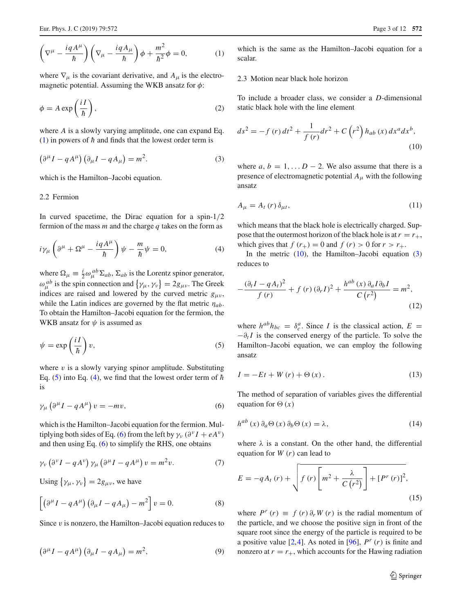$$
\left(\nabla^{\mu} - \frac{i q A^{\mu}}{\hbar}\right) \left(\nabla_{\mu} - \frac{i q A_{\mu}}{\hbar}\right) \phi + \frac{m^2}{\hbar^2} \phi = 0, \qquad (1)
$$

where  $\nabla_{\mu}$  is the covariant derivative, and  $A_{\mu}$  is the electromagnetic potential. Assuming the WKB ansatz for  $\phi$ :

$$
\phi = A \exp\left(\frac{iI}{\hbar}\right),\tag{2}
$$

where *A* is a slowly varying amplitude, one can expand Eq. [\(1\)](#page-1-2) in powers of  $\hbar$  and finds that the lowest order term is

$$
\left(\partial^{\mu}I - qA^{\mu}\right)\left(\partial_{\mu}I - qA_{\mu}\right) = m^{2}.
$$
\n(3)

which is the Hamilton–Jacobi equation.

<span id="page-2-0"></span>2.2 Fermion

In curved spacetime, the Dirac equation for a spin- $1/2$ fermion of the mass *m* and the charge *q* takes on the form as

$$
i\gamma_{\mu}\left(\partial^{\mu}+\Omega^{\mu}-\frac{iqA^{\mu}}{\hbar}\right)\psi-\frac{m}{\hbar}\psi=0,
$$
\n(4)

where  $\Omega_{\mu} \equiv \frac{i}{2} \omega_{\mu}^{ab} \Sigma_{ab}$ ,  $\Sigma_{ab}$  is the Lorentz spinor generator,  $\omega_{\mu}^{ab}$  is the spin connection and  $\{\gamma_{\mu}, \gamma_{\nu}\} = 2g_{\mu\nu}$ . The Greek indices are raised and lowered by the curved metric  $g_{\mu\nu}$ , while the Latin indices are governed by the flat metric  $\eta_{ab}$ . To obtain the Hamilton–Jacobi equation for the fermion, the WKB ansatz for  $\psi$  is assumed as

$$
\psi = \exp\left(\frac{iI}{\hbar}\right)v,\tag{5}
$$

<span id="page-2-4"></span>where  $v$  is a slowly varying spinor amplitude. Substituting Eq. [\(5\)](#page-2-2) into Eq. [\(4\)](#page-2-3), we find that the lowest order term of  $\hbar$ is

$$
\gamma_{\mu} \left( \partial^{\mu} I - q A^{\mu} \right) v = -mv, \tag{6}
$$

which is the Hamilton–Jacobi equation for the fermion. Mul-tiplying both sides of Eq. [\(6\)](#page-2-4) from the left by  $\gamma_v$  ( $\partial^v I + eA^v$ ) and then using Eq.  $(6)$  to simplify the RHS, one obtains

$$
\gamma_{\nu} \left( \partial^{\nu} I - q A^{\nu} \right) \gamma_{\mu} \left( \partial^{\mu} I - q A^{\mu} \right) v = m^2 v. \tag{7}
$$

Using  $\{\gamma_{\mu}, \gamma_{\nu}\} = 2g_{\mu\nu}$ , we have

$$
\left[\left(\partial^{\mu}I - qA^{\mu}\right)\left(\partial_{\mu}I - qA_{\mu}\right) - m^{2}\right]v = 0.
$$
\n(8)

Since  $v$  is nonzero, the Hamilton–Jacobi equation reduces to

$$
\left(\partial^{\mu} I - q A^{\mu}\right) \left(\partial_{\mu} I - q A_{\mu}\right) = m^{2},\tag{9}
$$

which is the same as the Hamilton–Jacobi equation for a scalar.

## <span id="page-2-1"></span>2.3 Motion near black hole horizon

<span id="page-2-5"></span>To include a broader class, we consider a *D*-dimensional static black hole with the line element

<span id="page-2-6"></span>
$$
ds^{2} = -f(r) dt^{2} + \frac{1}{f(r)} dr^{2} + C(r^{2}) h_{ab}(x) dx^{a} dx^{b},
$$
\n(10)

where  $a, b = 1, \ldots, D - 2$ . We also assume that there is a presence of electromagnetic potential  $A_\mu$  with the following ansatz

$$
A_{\mu} = A_t(r) \, \delta_{\mu t},\tag{11}
$$

<span id="page-2-3"></span>which means that the black hole is electrically charged. Suppose that the outermost horizon of the black hole is at  $r = r_+$ , which gives that  $f(r_+) = 0$  and  $f(r) > 0$  for  $r > r_+$ .

In the metric  $(10)$ , the Hamilton–Jacobi equation  $(3)$ reduces to

$$
-\frac{(\partial_t I - qA_t)^2}{f(r)} + f(r)(\partial_r I)^2 + \frac{h^{ab}(x)\partial_a I \partial_b I}{C(r^2)} = m^2,
$$
\n(12)

<span id="page-2-2"></span>where  $h^{ab}h_{bc} = \delta_c^a$ . Since *I* is the classical action,  $E =$  $-\partial_t I$  is the conserved energy of the particle. To solve the Hamilton–Jacobi equation, we can employ the following ansatz

$$
I = -Et + W(r) + \Theta(x). \tag{13}
$$

The method of separation of variables gives the differential equation for  $\Theta(x)$ 

$$
h^{ab}(x)\,\partial_a\Theta\left(x\right)\partial_b\Theta\left(x\right)=\lambda,\tag{14}
$$

where  $\lambda$  is a constant. On the other hand, the differential equation for *W* (*r*) can lead to

<span id="page-2-7"></span>
$$
E = -qA_t(r) + \sqrt{f(r)\left[m^2 + \frac{\lambda}{C(r^2)}\right] + [P^r(r)]^2},
$$
\n(15)

where  $P^r(r) \equiv f(r) \partial_r W(r)$  is the radial momentum of the particle, and we choose the positive sign in front of the square root since the energy of the particle is required to be a positive value  $[2,4]$  $[2,4]$  $[2,4]$ . As noted in [\[96\]](#page-11-1),  $P^r(r)$  is finite and nonzero at  $r = r_+$ , which accounts for the Hawing radiation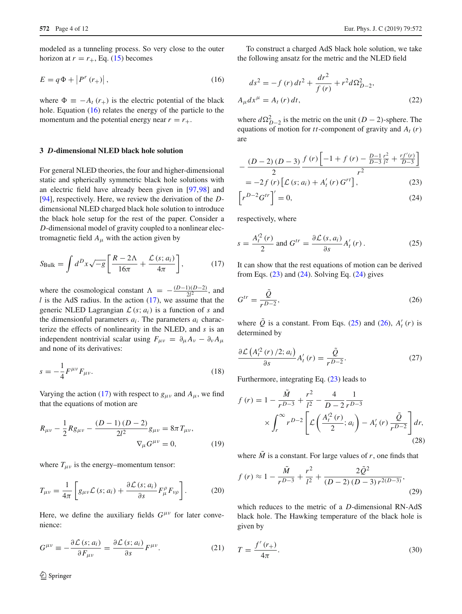modeled as a tunneling process. So very close to the outer horizon at  $r = r_+$ , Eq. [\(15\)](#page-2-7) becomes

$$
E = q\Phi + \left|P^r\left(r_+\right)\right|,\tag{16}
$$

where  $\Phi = -A_t(r_+)$  is the electric potential of the black hole. Equation [\(16\)](#page-3-1) relates the energy of the particle to the momentum and the potential energy near  $r = r_{+}$ .

## <span id="page-3-0"></span>**3** *D***-dimensional NLED black hole solution**

For general NLED theories, the four and higher-dimensional static and spherically symmetric black hole solutions with an electric field have already been given in [\[97,](#page-11-2)[98\]](#page-11-3) and [\[94](#page-10-12)], respectively. Here, we review the derivation of the *D*dimensional NLED charged black hole solution to introduce the black hole setup for the rest of the paper. Consider a *D*-dimensional model of gravity coupled to a nonlinear electromagnetic field  $A_\mu$  with the action given by

$$
S_{\text{Bulk}} = \int d^D x \sqrt{-g} \left[ \frac{R - 2\Lambda}{16\pi} + \frac{\mathcal{L}(s; a_i)}{4\pi} \right],\tag{17}
$$

where the cosmological constant  $\Lambda = -\frac{(D-1)(D-2)}{2l^2}$ , and *l* is the AdS radius. In the action [\(17\)](#page-3-2), we assume that the generic NLED Lagrangian  $\mathcal{L}(s; a_i)$  is a function of *s* and the dimensionful parameters  $a_i$ . The parameters  $a_i$  characterize the effects of nonlinearity in the NLED, and *s* is an independent nontrivial scalar using  $F_{\mu\nu} = \partial_{\mu} A_{\nu} - \partial_{\nu} A_{\mu}$ and none of its derivatives:

$$
s = -\frac{1}{4} F^{\mu\nu} F_{\mu\nu}.
$$
 (18)

Varying the action [\(17\)](#page-3-2) with respect to  $g_{\mu\nu}$  and  $A_{\mu}$ , we find that the equations of motion are

$$
R_{\mu\nu} - \frac{1}{2} R g_{\mu\nu} - \frac{(D-1)(D-2)}{2l^2} g_{\mu\nu} = 8\pi T_{\mu\nu},
$$
  

$$
\nabla_{\mu} G^{\mu\nu} = 0,
$$
 (19)

where  $T_{\mu\nu}$  is the energy–momentum tensor:

$$
T_{\mu\nu} = \frac{1}{4\pi} \left[ g_{\mu\nu} \mathcal{L} \left( s; a_i \right) + \frac{\partial \mathcal{L} \left( s; a_i \right)}{\partial s} F_{\mu}^{\rho} F_{\nu\rho} \right]. \tag{20}
$$

Here, we define the auxiliary fields  $G^{\mu\nu}$  for later convenience:

$$
G^{\mu\nu} \equiv -\frac{\partial \mathcal{L}(s; a_i)}{\partial F_{\mu\nu}} = \frac{\partial \mathcal{L}(s; a_i)}{\partial s} F^{\mu\nu}.
$$
 (21)

<span id="page-3-1"></span>To construct a charged AdS black hole solution, we take the following ansatz for the metric and the NLED field

<span id="page-3-9"></span>
$$
ds^{2} = -f(r) dt^{2} + \frac{dr^{2}}{f(r)} + r^{2} d\Omega_{D-2}^{2},
$$
  
\n
$$
A_{\mu} dx^{\mu} = A_{t}(r) dt,
$$
\n(22)

where  $d\Omega_{D-2}^2$  is the metric on the unit (*D* − 2)-sphere. The equations of motion for *tt*-component of gravity and  $A_t(r)$ are

<span id="page-3-3"></span>
$$
-\frac{(D-2)(D-3)}{2}\frac{f(r)\left[-1+f(r)-\frac{D-1}{D-3}\frac{r^2}{l^2}+\frac{rf'(r)}{D-3}\right]}{r^2}
$$
  
= -2f(r)\left[\mathcal{L}(s; a\_i) + A'\_t(r) G^{rt}\right], (23)

<span id="page-3-5"></span><span id="page-3-4"></span>
$$
\[r^{D-2}G^{tr}\]' = 0,\tag{24}
$$

<span id="page-3-2"></span>respectively, where

$$
s = \frac{A_t'^2(r)}{2} \text{ and } G^{tr} = \frac{\partial \mathcal{L}(s, a_i)}{\partial s} A_t'(r).
$$
 (25)

<span id="page-3-6"></span>It can show that the rest equations of motion can be derived from Eqs.  $(23)$  and  $(24)$ . Solving Eq.  $(24)$  gives

$$
G^{tr} = \frac{\tilde{Q}}{r^{D-2}},\tag{26}
$$

<span id="page-3-10"></span>where  $\hat{Q}$  is a constant. From Eqs. [\(25\)](#page-3-5) and [\(26\)](#page-3-6),  $A'_t(r)$  is determined by

$$
\frac{\partial \mathcal{L}\left(A_t^2(r)/2; a_i\right)}{\partial s} A_t'(r) = \frac{\tilde{\mathcal{Q}}}{r^{D-2}}.
$$
\n(27)

Furthermore, integrating Eq. [\(23\)](#page-3-3) leads to

<span id="page-3-7"></span>
$$
f(r) = 1 - \frac{\tilde{M}}{r^{D-3}} + \frac{r^2}{l^2} - \frac{4}{D-2} \frac{1}{r^{D-3}}
$$

$$
\times \int_r^{\infty} r^{D-2} \left[ \mathcal{L} \left( \frac{A_t'^2(r)}{2}; a_i \right) - A_t'(r) \frac{\tilde{Q}}{r^{D-2}} \right] dr,
$$
(28)

where  $\tilde{M}$  is a constant. For large values of *r*, one finds that

<span id="page-3-8"></span>
$$
f(r) \approx 1 - \frac{\tilde{M}}{r^{D-3}} + \frac{r^2}{l^2} + \frac{2\tilde{Q}^2}{(D-2)(D-3)r^{2(D-3)}},
$$
\n(29)

which reduces to the metric of a *D*-dimensional RN-AdS black hole. The Hawking temperature of the black hole is given by

$$
T = \frac{f'(r_+)}{4\pi}.
$$
 (30)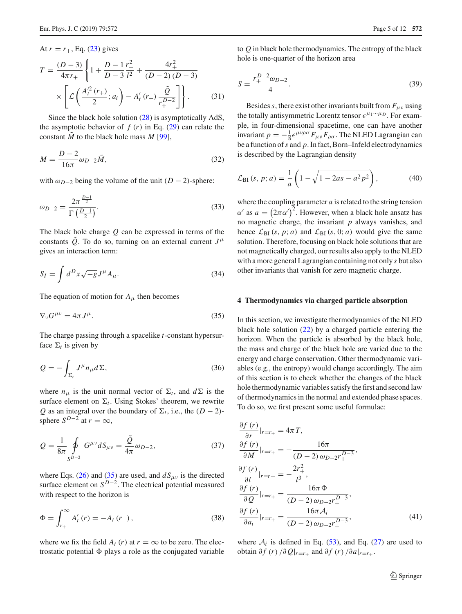#### At  $r = r_{+}$ , Eq. [\(23\)](#page-3-3) gives

<span id="page-4-4"></span>
$$
T = \frac{(D-3)}{4\pi r_+} \left\{ 1 + \frac{D-1}{D-3} \frac{r_+^2}{l^2} + \frac{4r_+^2}{(D-2)(D-3)} \times \left[ \mathcal{L} \left( \frac{A_t^2}{2} (r_+), a_i \right) - A_t' (r_+) \frac{\tilde{Q}}{r_+^{D-2}} \right] \right\}.
$$
 (31)

Since the black hole solution [\(28\)](#page-3-7) is asymptotically AdS, the asymptotic behavior of  $f(r)$  in Eq. [\(29\)](#page-3-8) can relate the constant *M*˜ to the black hole mass *M* [\[99\]](#page-11-4),

$$
M = \frac{D-2}{16\pi} \omega_{D-2} \tilde{M},\tag{32}
$$

with  $\omega_{D-2}$  being the volume of the unit (*D* − 2)-sphere:

$$
\omega_{D-2} = \frac{2\pi^{\frac{D-1}{2}}}{\Gamma(\frac{D-1}{2})}.
$$
\n(33)

The black hole charge *Q* can be expressed in terms of the constants *Q*. To do so, turning on an external current  $J^{\mu}$ gives an interaction term:

$$
S_I = \int d^D x \sqrt{-g} J^\mu A_\mu. \tag{34}
$$

The equation of motion for  $A_\mu$  then becomes

$$
\nabla_{\nu} G^{\mu\nu} = 4\pi J^{\mu}.
$$
\n(35)

The charge passing through a spacelike *t*-constant hypersurface  $\Sigma_t$  is given by

$$
Q = -\int_{\Sigma_l} J^{\mu} n_{\mu} d\Sigma, \tag{36}
$$

where  $n_{\mu}$  is the unit normal vector of  $\Sigma_t$ , and  $d\Sigma$  is the surface element on  $\Sigma_t$ . Using Stokes' theorem, we rewrite *Q* as an integral over the boundary of  $\Sigma_t$ , i.e., the (*D* − 2)sphere  $S^{D-2}$  at  $r = \infty$ ,

$$
Q = \frac{1}{8\pi} \oint_{S^{D-2}} G^{\mu\nu} dS_{\mu\nu} = \frac{\tilde{Q}}{4\pi} \omega_{D-2},
$$
 (37)

where Eqs. [\(26\)](#page-3-6) and [\(35\)](#page-4-1) are used, and  $dS_{\mu\nu}$  is the directed surface element on *SD*−2. The electrical potential measured with respect to the horizon is

$$
\Phi = \int_{r_+}^{\infty} A'_t(r) = -A_t(r_+), \qquad (38)
$$

where we fix the field  $A_t$  (*r*) at  $r = \infty$  to be zero. The electrostatic potential  $\Phi$  plays a role as the conjugated variable <span id="page-4-2"></span>to *Q* in black hole thermodynamics. The entropy of the black hole is one-quarter of the horizon area

$$
S = \frac{r_+^{D-2}\omega_{D-2}}{4}.\tag{39}
$$

Besides *s*, there exist other invariants built from  $F_{\mu\nu}$  using the totally antisymmetric Lorentz tensor  $\epsilon^{\mu_1\cdots\mu_D}$ . For example, in four-dimensional spacetime, one can have another invariant  $p = -\frac{1}{8} \epsilon^{\mu\nu\rho\sigma} F_{\mu\nu} F_{\rho\sigma}$ . The NLED Lagrangian can be a function of*s* and *p*. In fact, Born–Infeld electrodynamics is described by the Lagrangian density

$$
\mathcal{L}_{BI}(s, p; a) = \frac{1}{a} \left( 1 - \sqrt{1 - 2as - a^2 p^2} \right),\tag{40}
$$

where the coupling parameter *a* is related to the string tension  $\alpha'$  as  $a = (2\pi\alpha')^2$ . However, when a black hole ansatz has no magnetic charge, the invariant *p* always vanishes, and hence  $\mathcal{L}_{BI}$  (*s*, *p*; *a*) and  $\mathcal{L}_{BI}$  (*s*, 0; *a*) would give the same solution. Therefore, focusing on black hole solutions that are not magnetically charged, our results also apply to the NLED with a more general Lagrangian containing not only *s* but also other invariants that vanish for zero magnetic charge.

## <span id="page-4-1"></span><span id="page-4-0"></span>**4 Thermodynamics via charged particle absorption**

In this section, we investigate thermodynamics of the NLED black hole solution  $(22)$  by a charged particle entering the horizon. When the particle is absorbed by the black hole, the mass and charge of the black hole are varied due to the energy and charge conservation. Other thermodynamic variables (e.g., the entropy) would change accordingly. The aim of this section is to check whether the changes of the black hole thermodynamic variables satisfy the first and second law of thermodynamics in the normal and extended phase spaces. To do so, we first present some useful formulae:

$$
\frac{\partial f(r)}{\partial r}|_{r=r_{+}} = 4\pi T,
$$
\n
$$
\frac{\partial f(r)}{\partial M}|_{r=r_{+}} = -\frac{16\pi}{(D-2)\omega_{D-2}r_{+}^{D-3}},
$$
\n
$$
\frac{\partial f(r)}{\partial l}|_{r=r_{+}} = -\frac{2r_{+}^{2}}{l^{3}},
$$
\n
$$
\frac{\partial f(r)}{\partial Q}|_{r=r_{+}} = \frac{16\pi \Phi}{(D-2)\omega_{D-2}r_{+}^{D-3}},
$$
\n
$$
\frac{\partial f(r)}{\partial a_{i}}|_{r=r_{+}} = \frac{16\pi A_{i}}{(D-2)\omega_{D-2}r_{+}^{D-3}},
$$
\n(41)

<span id="page-4-3"></span>where  $A_i$  is defined in Eq. [\(53\)](#page-5-2), and Eq. [\(27\)](#page-3-10) are used to **obtain** ∂*f* (*r*) /∂  $Q|_{r=r_+}$  and ∂*f* (*r*) /∂ $a|_{r=r_+}$ .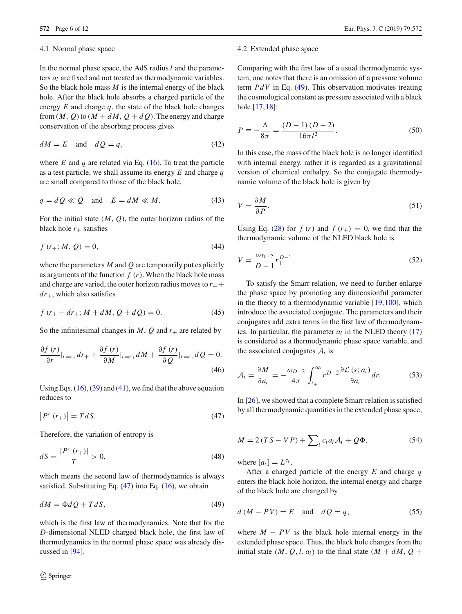## <span id="page-5-0"></span>4.1 Normal phase space

In the normal phase space, the AdS radius *l* and the parameters *ai* are fixed and not treated as thermodynamic variables. So the black hole mass *M* is the internal energy of the black hole. After the black hole absorbs a charged particle of the energy  $E$  and charge  $q$ , the state of the black hole changes from  $(M, Q)$  to  $(M + dM, Q + dQ)$ . The energy and charge conservation of the absorbing process gives

$$
dM = E \quad \text{and} \quad dQ = q,\tag{42}
$$

where  $E$  and  $q$  are related via Eq.  $(16)$ . To treat the particle as a test particle, we shall assume its energy *E* and charge *q* are small compared to those of the black hole,

$$
q = dQ \ll Q \quad \text{and} \quad E = dM \ll M. \tag{43}
$$

For the initial state  $(M, Q)$ , the outer horizon radius of the black hole  $r_{+}$  satisfies

$$
f(r_{+}; M, Q) = 0,
$$
\n(44)

where the parameters *M* and *Q* are temporarily put explicitly as arguments of the function  $f(r)$ . When the black hole mass and charge are varied, the outer horizon radius moves to  $r_{+}$  + *dr*+, which also satisfies

$$
f(r_{+} + dr_{+}; M + dM, Q + dQ) = 0.
$$
 (45)

So the infinitesimal changes in  $M$ ,  $Q$  and  $r_{+}$  are related by

$$
\frac{\partial f(r)}{\partial r}|_{r=r_{+}}dr_{+} + \frac{\partial f(r)}{\partial M}|_{r=r_{+}}dM + \frac{\partial f(r)}{\partial Q}|_{r=r_{+}}dQ = 0.
$$
\n(46)

<span id="page-5-3"></span>Using Eqs.  $(16)$ ,  $(39)$  and  $(41)$ , we find that the above equation reduces to

$$
\left|P^r\left(r_+\right)\right| = TdS.\tag{47}
$$

Therefore, the variation of entropy is

$$
dS = \frac{|P^r(r_+)|}{T} > 0,
$$
\n(48)

which means the second law of thermodynamics is always satisfied. Substituting Eq.  $(47)$  into Eq.  $(16)$ , we obtain

$$
dM = \Phi dQ + T dS, \tag{49}
$$

which is the first law of thermodynamics. Note that for the *D*-dimensional NLED charged black hole, the first law of thermodynamics in the normal phase space was already discussed in [\[94\]](#page-10-12).

#### <span id="page-5-1"></span>4.2 Extended phase space

Comparing with the first law of a usual thermodynamic system, one notes that there is an omission of a pressure volume term *PdV* in Eq. [\(49\)](#page-5-4). This observation motivates treating the cosmological constant as pressure associated with a black hole [\[17](#page-8-13)[,18](#page-8-14)]:

<span id="page-5-6"></span>
$$
P \equiv -\frac{\Lambda}{8\pi} = \frac{(D-1)(D-2)}{16\pi l^2}.
$$
 (50)

In this case, the mass of the black hole is no longer identified with internal energy, rather it is regarded as a gravitational version of chemical enthalpy. So the conjugate thermodynamic volume of the black hole is given by

$$
V = \frac{\partial M}{\partial P}.\tag{51}
$$

Using Eq. [\(28\)](#page-3-7) for  $f(r)$  and  $f(r_{+}) = 0$ , we find that the thermodynamic volume of the NLED black hole is

$$
V = \frac{\omega_{D-2}}{D-1} r_{+}^{D-1}.
$$
\n(52)

To satisfy the Smarr relation, we need to further enlarge the phase space by promoting any dimensionful parameter in the theory to a thermodynamic variable [\[19](#page-8-15)[,100](#page-11-5)], which introduce the associated conjugate. The parameters and their conjugates add extra terms in the first law of thermodynamics. In particular, the parameter  $a_i$  in the NLED theory  $(17)$ is considered as a thermodynamic phase space variable, and the associated conjugates  $A_i$  is

<span id="page-5-2"></span>
$$
\mathcal{A}_{i} = \frac{\partial M}{\partial a_{i}} = -\frac{\omega_{D-2}}{4\pi} \int_{r_{+}}^{\infty} r^{D-2} \frac{\partial \mathcal{L}(s; a_{i})}{\partial a_{i}} dr.
$$
 (53)

In [\[26\]](#page-9-0), we showed that a complete Smarr relation is satisfied by all thermodynamic quantities in the extended phase space,

$$
M = 2(TS - VP) + \sum_{i} c_i a_i A_i + Q\Phi,
$$
 (54)

where  $[a_i] = L^{c_i}$ .

<span id="page-5-5"></span><span id="page-5-4"></span>After a charged particle of the energy *E* and charge *q* enters the black hole horizon, the internal energy and charge of the black hole are changed by

$$
d(M - PV) = E \quad \text{and} \quad dQ = q,\tag{55}
$$

where  $M - PV$  is the black hole internal energy in the extended phase space. Thus, the black hole changes from the initial state  $(M, Q, l, a_i)$  to the final state  $(M + dM, Q +$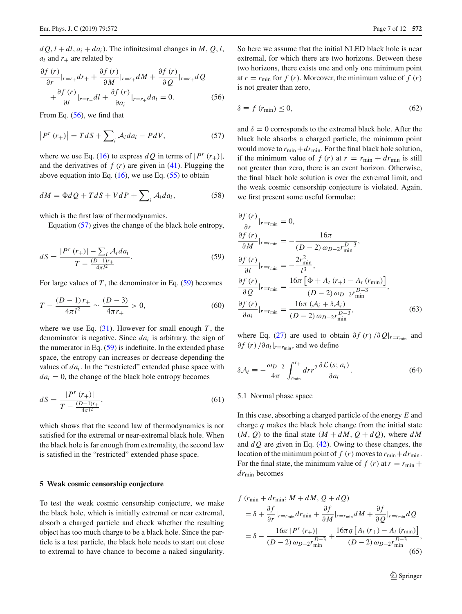$dQ$ ,  $l + dl$ ,  $a_i + da_i$ ). The infinitesimal changes in *M*, *Q*, *l*,  $a_i$  and  $r_+$  are related by

<span id="page-6-2"></span>
$$
\frac{\partial f(r)}{\partial r}|_{r=r_{+}}dr_{+} + \frac{\partial f(r)}{\partial M}|_{r=r_{+}}dM + \frac{\partial f(r)}{\partial Q}|_{r=r_{+}}dQ
$$
  
+ 
$$
\frac{\partial f(r)}{\partial l}|_{r=r_{+}}dl + \frac{\partial f(r)}{\partial a_{l}}|_{r=r_{+}}da_{l} = 0.
$$
 (56)

<span id="page-6-3"></span>From Eq. [\(56\)](#page-6-2), we find that

$$
\left|P^{r}\left(r_{+}\right)\right| = TdS + \sum_{i} \mathcal{A}_{i} da_{i} - PdV,\tag{57}
$$

where we use Eq. [\(16\)](#page-3-1) to express  $dQ$  in terms of  $|P^r(r_+)|$ , and the derivatives of  $f(r)$  are given in [\(41\)](#page-4-3). Plugging the above equation into Eq.  $(16)$ , we use Eq.  $(55)$  to obtain

$$
dM = \Phi dQ + T dS + V dP + \sum_{i} A_{i} da_{i}, \qquad (58)
$$

which is the first law of thermodynamics.

<span id="page-6-4"></span>Equation [\(57\)](#page-6-3) gives the change of the black hole entropy,

$$
dS = \frac{|P^r(r_+)| - \sum_{i} \mathcal{A}_i da_i}{T - \frac{(D-1)r_+}{4\pi l^2}}.
$$
\n(59)

For large values of  $T$ , the denominator in Eq.  $(59)$  becomes

$$
T - \frac{(D-1)r_+}{4\pi l^2} \sim \frac{(D-3)}{4\pi r_+} > 0,
$$
\n(60)

where we use Eq.  $(31)$ . However for small enough *T*, the denominator is negative. Since *dai* is arbitrary, the sign of the numerator in Eq.  $(59)$  is indefinite. In the extended phase space, the entropy can increases or decrease depending the values of  $da_i$ . In the "restricted" extended phase space with  $da<sub>i</sub> = 0$ , the change of the black hole entropy becomes

$$
dS = \frac{|P^{r}(r_{+})|}{T - \frac{(D-1)r_{+}}{4\pi l^{2}}},
$$
\n(61)

which shows that the second law of thermodynamics is not satisfied for the extremal or near-extremal black hole. When the black hole is far enough from extremality, the second law is satisfied in the "restricted" extended phase space.

## <span id="page-6-0"></span>**5 Weak cosmic censorship conjecture**

To test the weak cosmic censorship conjecture, we make the black hole, which is initially extremal or near extremal, absorb a charged particle and check whether the resulting object has too much charge to be a black hole. Since the particle is a test particle, the black hole needs to start out close to extremal to have chance to become a naked singularity.

So here we assume that the initial NLED black hole is near extremal, for which there are two horizons. Between these two horizons, there exists one and only one minimum point at  $r = r_{\text{min}}$  for  $f(r)$ . Moreover, the minimum value of  $f(r)$ is not greater than zero,

$$
\delta \equiv f \left( r_{\text{min}} \right) \le 0, \tag{62}
$$

and  $\delta = 0$  corresponds to the extremal black hole. After the black hole absorbs a charged particle, the minimum point would move to  $r_{\min}+dr_{\min}$ . For the final black hole solution, if the minimum value of  $f(r)$  at  $r = r_{min} + dr_{min}$  is still not greater than zero, there is an event horizon. Otherwise, the final black hole solution is over the extremal limit, and the weak cosmic censorship conjecture is violated. Again, we first present some useful formulae:

$$
\frac{\partial f(r)}{\partial r}|_{r=r_{\min}} = 0,
$$
\n
$$
\frac{\partial f(r)}{\partial M}|_{r=r_{\min}} = -\frac{16\pi}{(D-2)\omega_{D-2}r_{\min}^{D-3}},
$$
\n
$$
\frac{\partial f(r)}{\partial l}|_{r=r_{\min}} = -\frac{2r_{\min}^2}{l^3},
$$
\n
$$
\frac{\partial f(r)}{\partial Q}|_{r=r_{\min}} = \frac{16\pi \left[\Phi + A_t(r_+) - A_t(r_{\min})\right]}{(D-2)\omega_{D-2}r_{\min}^{D-3}},
$$
\n
$$
\frac{\partial f(r)}{\partial a_i}|_{r=r_{\min}} = \frac{16\pi (A_i + \delta A_i)}{(D-2)\omega_{D-2}r_{\min}^{D-3}},
$$
\n(63)

<span id="page-6-6"></span>where Eq. [\(27\)](#page-3-10) are used to obtain  $\partial f(r)/\partial Q|_{r=r_{\text{min}}}$  and  $\partial f(r)/\partial a_i|_{r=r_{\text{min}}}$ , and we define

$$
\delta \mathcal{A}_i \equiv -\frac{\omega_{D-2}}{4\pi} \int_{r_{\rm min}}^{r_+} dr r^2 \frac{\partial \mathcal{L}(s; a_i)}{\partial a_i}.
$$
 (64)

#### <span id="page-6-1"></span>5.1 Normal phase space

In this case, absorbing a charged particle of the energy *E* and charge *q* makes the black hole change from the initial state  $(M, Q)$  to the final state  $(M + dM, Q + dQ)$ , where *dM* and *d Q* are given in Eq. [\(42\)](#page-5-6). Owing to these changes, the location of the minimum point of  $f(r)$  moves to  $r_{\min}+dr_{\min}$ . For the final state, the minimum value of  $f(r)$  at  $r = r_{min} +$ *dr*min becomes

<span id="page-6-5"></span>
$$
f (r_{\min} + dr_{\min}; M + dM, Q + dQ)
$$
  
=  $\delta + \frac{\partial f}{\partial r}|_{r=r_{\min}} dr_{\min} + \frac{\partial f}{\partial M}|_{r=r_{\min}} dM + \frac{\partial f}{\partial Q}|_{r=r_{\min}} dQ$   
=  $\delta - \frac{16\pi |P^r (r_+)|}{(D-2) \omega_{D-2} r_{\min}^{D-3}} + \frac{16\pi q [A_t (r_+) - A_t (r_{\min})]}{(D-2) \omega_{D-2} r_{\min}^{D-3}},$ (65)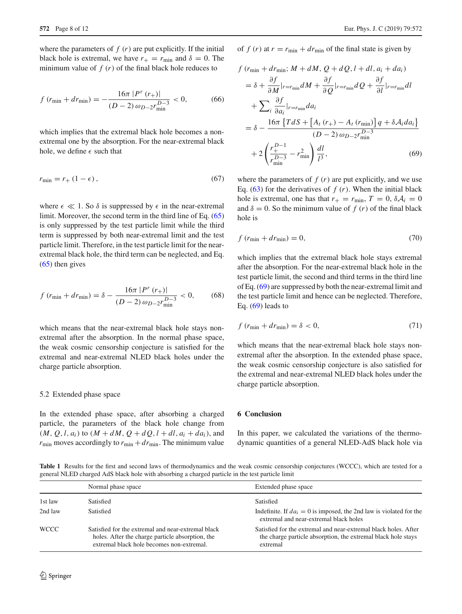where the parameters of  $f(r)$  are put explicitly. If the initial black hole is extremal, we have  $r_{+} = r_{\text{min}}$  and  $\delta = 0$ . The minimum value of  $f(r)$  of the final black hole reduces to

$$
f\left(r_{\min} + dr_{\min}\right) = -\frac{16\pi \left|P^r\left(r_{+}\right)\right|}{\left(D - 2\right)\omega_{D-2}r_{\min}^{D-3}} < 0,\tag{66}
$$

which implies that the extremal black hole becomes a nonextremal one by the absorption. For the near-extremal black hole, we define  $\epsilon$  such that

$$
r_{\min} = r_+(1 - \epsilon),\tag{67}
$$

where  $\epsilon \ll 1$ . So  $\delta$  is suppressed by  $\epsilon$  in the near-extremal limit. Moreover, the second term in the third line of Eq. [\(65\)](#page-6-5) is only suppressed by the test particle limit while the third term is suppressed by both near-extremal limit and the test particle limit. Therefore, in the test particle limit for the nearextremal black hole, the third term can be neglected, and Eq. [\(65\)](#page-6-5) then gives

$$
f\left(r_{\min} + dr_{\min}\right) = \delta - \frac{16\pi \left|P^r\left(r_+\right)\right|}{\left(D - 2\right)\omega_{D-2}r_{\min}^{D-3}} < 0,\tag{68}
$$

which means that the near-extremal black hole stays nonextremal after the absorption. In the normal phase space, the weak cosmic censorship conjecture is satisfied for the extremal and near-extremal NLED black holes under the charge particle absorption.

#### <span id="page-7-0"></span>5.2 Extended phase space

In the extended phase space, after absorbing a charged particle, the parameters of the black hole change from  $(M, Q, l, a_i)$  to  $(M + dM, Q + dQ, l + dl, a_i + da_i)$ , and  $r_{\text{min}}$  moves accordingly to  $r_{\text{min}} + dr_{\text{min}}$ . The minimum value of  $f(r)$  at  $r = r_{\text{min}} + dr_{\text{min}}$  of the final state is given by

$$
f\left(r_{\min} + dr_{\min}; M + dM, Q + dQ, l + dl, a_i + da_i\right)
$$
  
\n
$$
= \delta + \frac{\partial f}{\partial M}|_{r=r_{\min}} dM + \frac{\partial f}{\partial Q}|_{r=r_{\min}} dQ + \frac{\partial f}{\partial l}|_{r=r_{\min}} dl
$$
  
\n
$$
+ \sum_{i} \frac{\partial f}{\partial a_i}|_{r=r_{\min}} da_i
$$
  
\n
$$
= \delta - \frac{16\pi \left\{TdS + \left[A_t\left(r_{+}\right) - A_t\left(r_{\min}\right)\right]q + \delta A_i da_i\right\}}{(D-2)\omega_{D-2}r_{\min}^{D-3}}
$$
  
\n
$$
+ 2\left(\frac{r_{+}^{D-1}}{r_{\min}^{D-3}} - r_{\min}^{2}\right) \frac{dl}{l^3},
$$
\n(69)

<span id="page-7-2"></span>where the parameters of  $f(r)$  are put explicitly, and we use Eq.  $(63)$  for the derivatives of  $f(r)$ . When the initial black hole is extremal, one has that  $r_{+} = r_{\text{min}}$ ,  $T = 0$ ,  $\delta A_{i} = 0$ and  $\delta = 0$ . So the minimum value of  $f(r)$  of the final black hole is

$$
f\left(r_{\min} + dr_{\min}\right) = 0,\tag{70}
$$

which implies that the extremal black hole stays extremal after the absorption. For the near-extremal black hole in the test particle limit, the second and third terms in the third line of Eq. [\(69\)](#page-7-2) are suppressed by both the near-extremal limit and the test particle limit and hence can be neglected. Therefore, Eq.  $(69)$  leads to

$$
f\left(r_{\min} + dr_{\min}\right) = \delta < 0,\tag{71}
$$

which means that the near-extremal black hole stays nonextremal after the absorption. In the extended phase space, the weak cosmic censorship conjecture is also satisfied for the extremal and near-extremal NLED black holes under the charge particle absorption.

# <span id="page-7-1"></span>**6 Conclusion**

In this paper, we calculated the variations of the thermodynamic quantities of a general NLED-AdS black hole via

<span id="page-7-3"></span>**Table 1** Results for the first and second laws of thermodynamics and the weak cosmic censorship conjectures (WCCC), which are tested for a general NLED charged AdS black hole with absorbing a charged particle in the test particle limit

|             | Normal phase space                                                                                                                                  | Extended phase space                                                                                                                         |
|-------------|-----------------------------------------------------------------------------------------------------------------------------------------------------|----------------------------------------------------------------------------------------------------------------------------------------------|
| 1st law     | Satisfied                                                                                                                                           | Satisfied                                                                                                                                    |
| 2nd law     | Satisfied                                                                                                                                           | Indefinite. If $da_i = 0$ is imposed, the 2nd law is violated for the<br>extremal and near-extremal black holes                              |
| <b>WCCC</b> | Satisfied for the extremal and near-extremal black<br>holes. After the charge particle absorption, the<br>extremal black hole becomes non-extremal. | Satisfied for the extremal and near-extremal black holes. After<br>the charge particle absorption, the extremal black hole stays<br>extremal |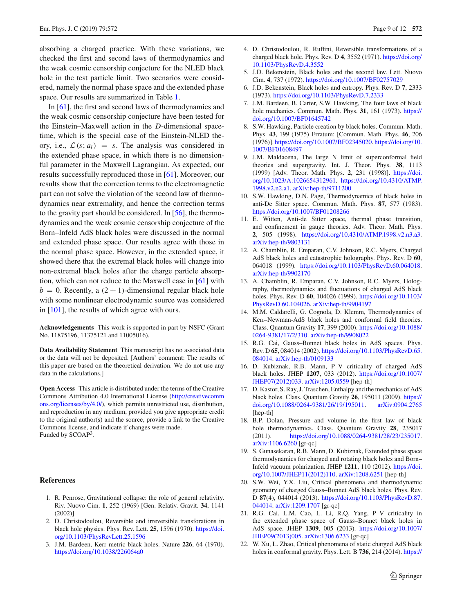absorbing a charged practice. With these variations, we checked the first and second laws of thermodynamics and the weak cosmic censorship conjecture for the NLED black hole in the test particle limit. Two scenarios were considered, namely the normal phase space and the extended phase space. Our results are summarized in Table [1.](#page-7-3)

In [\[61](#page-10-0)], the first and second laws of thermodynamics and the weak cosmic censorship conjecture have been tested for the Einstein–Maxwell action in the *D*-dimensional spacetime, which is the special case of the Einstein-NLED theory, i.e.,  $\mathcal{L}(s; a_i) = s$ . The analysis was considered in the extended phase space, in which there is no dimensionful parameter in the Maxwell Lagrangian. As expected, our results successfully reproduced those in [\[61](#page-10-0)]. Moreover, our results show that the correction terms to the electromagnetic part can not solve the violation of the second law of thermodynamics near extremality, and hence the correction terms to the gravity part should be considered. In  $[56]$  $[56]$ , the thermodynamics and the weak cosmic censorship conjecture of the Born–Infeld AdS black holes were discussed in the normal and extended phase space. Our results agree with those in the normal phase space. However, in the extended space, it showed there that the extremal black holes will change into non-extremal black holes after the charge particle absorption, which can not reduce to the Maxwell case in [\[61\]](#page-10-0) with  $b = 0$ . Recently, a  $(2 + 1)$ -dimensional regular black hole with some nonlinear electrodynamic source was considered in [\[101\]](#page-11-6), the results of which agree with ours.

**Acknowledgements** This work is supported in part by NSFC (Grant No. 11875196, 11375121 and 11005016).

**Data Availability Statement** This manuscript has no associated data or the data will not be deposited. [Authors' comment: The results of this paper are based on the theoretical derivation. We do not use any data in the calculations.]

**Open Access** This article is distributed under the terms of the Creative Commons Attribution 4.0 International License [\(http://creativecomm](http://creativecommons.org/licenses/by/4.0/) [ons.org/licenses/by/4.0/\)](http://creativecommons.org/licenses/by/4.0/), which permits unrestricted use, distribution, and reproduction in any medium, provided you give appropriate credit to the original author(s) and the source, provide a link to the Creative Commons license, and indicate if changes were made. Funded by SCOAP<sup>3</sup>.

#### <span id="page-8-0"></span>**References**

- <span id="page-8-1"></span>1. R. Penrose, Gravitational collapse: the role of general relativity. Riv. Nuovo Cim. **1**, 252 (1969) [Gen. Relativ. Gravit. **34**, 1141 (2002)]
- <span id="page-8-2"></span>2. D. Christodoulou, Reversible and irreversible transforations in black hole physics. Phys. Rev. Lett. **25**, 1596 (1970). [https://doi.](https://doi.org/10.1103/PhysRevLett.25.1596) [org/10.1103/PhysRevLett.25.1596](https://doi.org/10.1103/PhysRevLett.25.1596)
- 3. J.M. Bardeen, Kerr metric black holes. Nature **226**, 64 (1970). <https://doi.org/10.1038/226064a0>
- <span id="page-8-3"></span>4. D. Christodoulou, R. Ruffini, Reversible transformations of a charged black hole. Phys. Rev. D **4**, 3552 (1971). [https://doi.org/](https://doi.org/10.1103/PhysRevD.4.3552) [10.1103/PhysRevD.4.3552](https://doi.org/10.1103/PhysRevD.4.3552)
- <span id="page-8-4"></span>5. J.D. Bekenstein, Black holes and the second law. Lett. Nuovo Cim. **4**, 737 (1972). <https://doi.org/10.1007/BF02757029>
- <span id="page-8-5"></span>6. J.D. Bekenstein, Black holes and entropy. Phys. Rev. D **7**, 2333 (1973). <https://doi.org/10.1103/PhysRevD.7.2333>
- <span id="page-8-6"></span>7. J.M. Bardeen, B. Carter, S.W. Hawking, The four laws of black hole mechanics. Commun. Math. Phys. **31**, 161 (1973). [https://](https://doi.org/10.1007/BF01645742) [doi.org/10.1007/BF01645742](https://doi.org/10.1007/BF01645742)
- <span id="page-8-7"></span>8. S.W. Hawking, Particle creation by black holes. Commun. Math. Phys. **43**, 199 (1975) Erratum: [Commun. Math. Phys. **46**, 206 (1976)]. [https://doi.org/10.1007/BF02345020.](https://doi.org/10.1007/BF02345020) [https://doi.org/10.](https://doi.org/10.1007/BF01608497) [1007/BF01608497](https://doi.org/10.1007/BF01608497)
- <span id="page-8-8"></span>9. J.M. Maldacena, The large N limit of superconformal field theories and supergravity. Int. J. Theor. Phys. **38**, 1113 (1999) [Adv. Theor. Math. Phys. **2**, 231 (1998)]. [https://doi.](https://doi.org/10.1023/A:1026654312961) [org/10.1023/A:1026654312961.](https://doi.org/10.1023/A:1026654312961) [https://doi.org/10.4310/ATMP.](https://doi.org/10.4310/ATMP.1998.v2.n2.a1) [1998.v2.n2.a1.](https://doi.org/10.4310/ATMP.1998.v2.n2.a1) [arXiv:hep-th/9711200](http://arxiv.org/abs/hep-th/9711200)
- <span id="page-8-9"></span>10. S.W. Hawking, D.N. Page, Thermodynamics of black holes in anti-De Sitter space. Commun. Math. Phys. **87**, 577 (1983). <https://doi.org/10.1007/BF01208266>
- <span id="page-8-10"></span>11. E. Witten, Anti-de Sitter space, thermal phase transition, and confinement in gauge theories. Adv. Theor. Math. Phys. **2**, 505 (1998). [https://doi.org/10.4310/ATMP.1998.v2.n3.a3.](https://doi.org/10.4310/ATMP.1998.v2.n3.a3) [arXiv:hep-th/9803131](http://arxiv.org/abs/hep-th/9803131)
- <span id="page-8-11"></span>12. A. Chamblin, R. Emparan, C.V. Johnson, R.C. Myers, Charged AdS black holes and catastrophic holography. Phys. Rev. D **60**, 064018 (1999). [https://doi.org/10.1103/PhysRevD.60.064018.](https://doi.org/10.1103/PhysRevD.60.064018) [arXiv:hep-th/9902170](http://arxiv.org/abs/hep-th/9902170)
- 13. A. Chamblin, R. Emparan, C.V. Johnson, R.C. Myers, Holography, thermodynamics and fluctuations of charged AdS black holes. Phys. Rev. D **60**, 104026 (1999). [https://doi.org/10.1103/](https://doi.org/10.1103/PhysRevD.60.104026) [PhysRevD.60.104026.](https://doi.org/10.1103/PhysRevD.60.104026) [arXiv:hep-th/9904197](http://arxiv.org/abs/hep-th/9904197)
- 14. M.M. Caldarelli, G. Cognola, D. Klemm, Thermodynamics of Kerr–Newman-AdS black holes and conformal field theories. Class. Quantum Gravity **17**, 399 (2000). [https://doi.org/10.1088/](https://doi.org/10.1088/0264-9381/17/2/310) [0264-9381/17/2/310.](https://doi.org/10.1088/0264-9381/17/2/310) [arXiv:hep-th/9908022](http://arxiv.org/abs/hep-th/9908022)
- 15. R.G. Cai, Gauss–Bonnet black holes in AdS spaces. Phys. Rev. D **65**, 084014 (2002). [https://doi.org/10.1103/PhysRevD.65.](https://doi.org/10.1103/PhysRevD.65.084014) [084014.](https://doi.org/10.1103/PhysRevD.65.084014) [arXiv:hep-th/0109133](http://arxiv.org/abs/hep-th/0109133)
- <span id="page-8-12"></span>16. D. Kubiznak, R.B. Mann, P–V criticality of charged AdS black holes. JHEP **1207**, 033 (2012). [https://doi.org/10.1007/](https://doi.org/10.1007/JHEP07(2012)033) [JHEP07\(2012\)033.](https://doi.org/10.1007/JHEP07(2012)033) [arXiv:1205.0559](http://arxiv.org/abs/1205.0559) [hep-th]
- <span id="page-8-13"></span>17. D. Kastor, S. Ray, J. Traschen, Enthalpy and the mechanics of AdS black holes. Class. Quantum Gravity **26**, 195011 (2009). [https://](https://doi.org/10.1088/0264-9381/26/19/195011) [doi.org/10.1088/0264-9381/26/19/195011.](https://doi.org/10.1088/0264-9381/26/19/195011) [arXiv:0904.2765](http://arxiv.org/abs/0904.2765) [hep-th]
- <span id="page-8-14"></span>18. B.P. Dolan, Pressure and volume in the first law of black hole thermodynamics. Class. Quantum Gravity **28**, 235017 (2011). [https://doi.org/10.1088/0264-9381/28/23/235017.](https://doi.org/10.1088/0264-9381/28/23/235017) [arXiv:1106.6260](http://arxiv.org/abs/1106.6260) [gr-qc]
- <span id="page-8-15"></span>19. S. Gunasekaran, R.B. Mann, D. Kubiznak, Extended phase space thermodynamics for charged and rotating black holes and Born– Infeld vacuum polarization. JHEP **1211**, 110 (2012). [https://doi.](https://doi.org/10.1007/JHEP11(2012)110) [org/10.1007/JHEP11\(2012\)110.](https://doi.org/10.1007/JHEP11(2012)110) [arXiv:1208.6251](http://arxiv.org/abs/1208.6251) [hep-th]
- 20. S.W. Wei, Y.X. Liu, Critical phenomena and thermodynamic geometry of charged Gauss–Bonnet AdS black holes. Phys. Rev. D **87**(4), 044014 (2013). [https://doi.org/10.1103/PhysRevD.87.](https://doi.org/10.1103/PhysRevD.87.044014) [044014.](https://doi.org/10.1103/PhysRevD.87.044014) [arXiv:1209.1707](http://arxiv.org/abs/1209.1707) [gr-qc]
- 21. R.G. Cai, L.M. Cao, L. Li, R.Q. Yang, P–V criticality in the extended phase space of Gauss–Bonnet black holes in AdS space. JHEP **1309**, 005 (2013). [https://doi.org/10.1007/](https://doi.org/10.1007/JHEP09(2013)005) [JHEP09\(2013\)005.](https://doi.org/10.1007/JHEP09(2013)005) [arXiv:1306.6233](http://arxiv.org/abs/1306.6233) [gr-qc]
- 22. W. Xu, L. Zhao, Critical phenomena of static charged AdS black holes in conformal gravity. Phys. Lett. B **736**, 214 (2014). [https://](https://doi.org/10.1016/j.physletb.2014.07.019)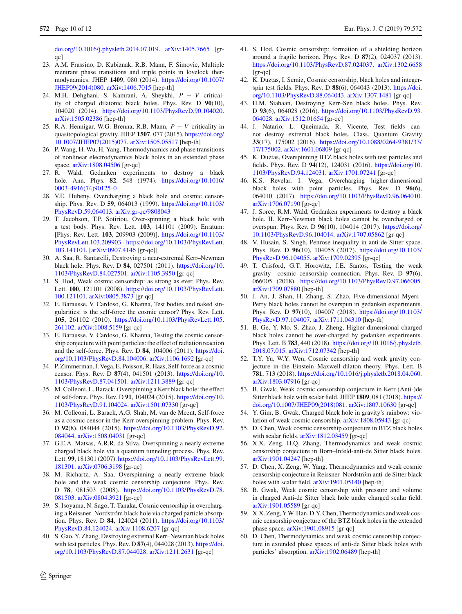[doi.org/10.1016/j.physletb.2014.07.019.](https://doi.org/10.1016/j.physletb.2014.07.019) [arXiv:1405.7665](http://arxiv.org/abs/1405.7665) [gr- $\alpha$ c]

- 23. A.M. Frassino, D. Kubiznak, R.B. Mann, F. Simovic, Multiple reentrant phase transitions and triple points in lovelock thermodynamics. JHEP **1409**, 080 (2014). [https://doi.org/10.1007/](https://doi.org/10.1007/JHEP09(2014)080) [JHEP09\(2014\)080.](https://doi.org/10.1007/JHEP09(2014)080) [arXiv:1406.7015](http://arxiv.org/abs/1406.7015) [hep-th]
- 24. M.H. Dehghani, S. Kamrani, A. Sheykhi, *P* − *V* criticality of charged dilatonic black holes. Phys. Rev. D **90**(10), 104020 (2014). [https://doi.org/10.1103/PhysRevD.90.104020.](https://doi.org/10.1103/PhysRevD.90.104020) [arXiv:1505.02386](http://arxiv.org/abs/1505.02386) [hep-th]
- 25. R.A. Hennigar, W.G. Brenna, R.B. Mann, *P* − *V* criticality in quasitopological gravity. JHEP **1507**, 077 (2015). [https://doi.org/](https://doi.org/10.1007/JHEP07(2015)077) [10.1007/JHEP07\(2015\)077.](https://doi.org/10.1007/JHEP07(2015)077) [arXiv:1505.05517](http://arxiv.org/abs/1505.05517) [hep-th]
- <span id="page-9-0"></span>26. P. Wang, H. Wu, H. Yang, Thermodynamics and phase transitions of nonlinear electrodynamics black holes in an extended phase space. [arXiv:1808.04506](http://arxiv.org/abs/1808.04506) [gr-qc]
- <span id="page-9-1"></span>27. R. Wald, Gedanken experiments to destroy a black hole. Ann. Phys. **82**, 548 (1974). [https://doi.org/10.1016/](https://doi.org/10.1016/0003-4916(74)90125-0) [0003-4916\(74\)90125-0](https://doi.org/10.1016/0003-4916(74)90125-0)
- <span id="page-9-2"></span>28. V.E. Hubeny, Overcharging a black hole and cosmic censorship. Phys. Rev. D **59**, 064013 (1999). [https://doi.org/10.1103/](https://doi.org/10.1103/PhysRevD.59.064013) [PhysRevD.59.064013.](https://doi.org/10.1103/PhysRevD.59.064013) [arXiv:gr-qc/9808043](http://arxiv.org/abs/gr-qc/9808043)
- 29. T. Jacobson, T.P. Sotiriou, Over-spinning a black hole with a test body. Phys. Rev. Lett. **103**, 141101 (2009). Erratum: [Phys. Rev. Lett. **103**, 209903 (2009)]. [https://doi.org/10.1103/](https://doi.org/10.1103/PhysRevLett.103.209903) [PhysRevLett.103.209903.](https://doi.org/10.1103/PhysRevLett.103.209903) [https://doi.org/10.1103/PhysRevLett.](https://doi.org/10.1103/PhysRevLett.103.141101) [103.141101.](https://doi.org/10.1103/PhysRevLett.103.141101) [\[arXiv:0907.4146](http://arxiv.org/abs/0907.4146) [gr-qc]]
- <span id="page-9-3"></span>30. A. Saa, R. Santarelli, Destroying a near-extremal Kerr–Newman black hole. Phys. Rev. D **84**, 027501 (2011). [https://doi.org/10.](https://doi.org/10.1103/PhysRevD.84.027501) [1103/PhysRevD.84.027501.](https://doi.org/10.1103/PhysRevD.84.027501) [arXiv:1105.3950](http://arxiv.org/abs/1105.3950) [gr-qc]
- <span id="page-9-4"></span>31. S. Hod, Weak cosmic censorship: as strong as ever. Phys. Rev. Lett. **100**, 121101 (2008). [https://doi.org/10.1103/PhysRevLett.](https://doi.org/10.1103/PhysRevLett.100.121101) [100.121101.](https://doi.org/10.1103/PhysRevLett.100.121101) [arXiv:0805.3873](http://arxiv.org/abs/0805.3873) [gr-qc]
- 32. E. Barausse, V. Cardoso, G. Khanna, Test bodies and naked singularities: is the self-force the cosmic censor? Phys. Rev. Lett. **105**, 261102 (2010). [https://doi.org/10.1103/PhysRevLett.105.](https://doi.org/10.1103/PhysRevLett.105.261102) [261102.](https://doi.org/10.1103/PhysRevLett.105.261102) [arXiv:1008.5159](http://arxiv.org/abs/1008.5159) [gr-qc]
- 33. E. Barausse, V. Cardoso, G. Khanna, Testing the cosmic censorship conjecture with point particles: the effect of radiation reaction and the self-force. Phys. Rev. D **84**, 104006 (2011). [https://doi.](https://doi.org/10.1103/PhysRevD.84.104006) [org/10.1103/PhysRevD.84.104006.](https://doi.org/10.1103/PhysRevD.84.104006) [arXiv:1106.1692](http://arxiv.org/abs/1106.1692) [gr-qc]
- 34. P. Zimmerman, I. Vega, E. Poisson, R. Haas, Self-force as a cosmic censor. Phys. Rev. D **87**(4), 041501 (2013). [https://doi.org/10.](https://doi.org/10.1103/PhysRevD.87.041501) [1103/PhysRevD.87.041501.](https://doi.org/10.1103/PhysRevD.87.041501) [arXiv:1211.3889](http://arxiv.org/abs/1211.3889) [gr-qc]
- 35. M. Colleoni, L. Barack, Overspinning a Kerr black hole: the effect of self-force. Phys. Rev. D **91**, 104024 (2015). [https://doi.org/10.](https://doi.org/10.1103/PhysRevD.91.104024) [1103/PhysRevD.91.104024.](https://doi.org/10.1103/PhysRevD.91.104024) [arXiv:1501.07330](http://arxiv.org/abs/1501.07330) [gr-qc]
- <span id="page-9-5"></span>36. M. Colleoni, L. Barack, A.G. Shah, M. van de Meent, Self-force as a cosmic censor in the Kerr overspinning problem. Phys. Rev. D **92**(8), 084044 (2015). [https://doi.org/10.1103/PhysRevD.92.](https://doi.org/10.1103/PhysRevD.92.084044) [084044.](https://doi.org/10.1103/PhysRevD.92.084044) [arXiv:1508.04031](http://arxiv.org/abs/1508.04031) [gr-qc]
- <span id="page-9-6"></span>37. G.E.A. Matsas, A.R.R. da Silva, Overspinning a nearly extreme charged black hole via a quantum tunneling process. Phys. Rev. Lett. **99**, 181301 (2007). [https://doi.org/10.1103/PhysRevLett.99.](https://doi.org/10.1103/PhysRevLett.99.181301) [181301.](https://doi.org/10.1103/PhysRevLett.99.181301) [arXiv:0706.3198](http://arxiv.org/abs/0706.3198) [gr-qc]
- 38. M. Richartz, A. Saa, Overspinning a nearly extreme black hole and the weak cosmic censorship conjecture. Phys. Rev. D **78**, 081503 (2008). [https://doi.org/10.1103/PhysRevD.78.](https://doi.org/10.1103/PhysRevD.78.081503) [081503.](https://doi.org/10.1103/PhysRevD.78.081503) [arXiv:0804.3921](http://arxiv.org/abs/0804.3921) [gr-qc]
- 39. S. Isoyama, N. Sago, T. Tanaka, Cosmic censorship in overcharging a Reissner–Nordstróm black hole via charged particle absorption. Phys. Rev. D **84**, 124024 (2011). [https://doi.org/10.1103/](https://doi.org/10.1103/PhysRevD.84.124024) [PhysRevD.84.124024.](https://doi.org/10.1103/PhysRevD.84.124024) [arXiv:1108.6207](http://arxiv.org/abs/1108.6207) [gr-qc]
- 40. S. Gao, Y. Zhang, Destroying extremal Kerr–Newman black holes with test particles. Phys. Rev. D **87**(4), 044028 (2013). [https://doi.](https://doi.org/10.1103/PhysRevD.87.044028) [org/10.1103/PhysRevD.87.044028.](https://doi.org/10.1103/PhysRevD.87.044028) [arXiv:1211.2631](http://arxiv.org/abs/1211.2631) [gr-qc]
- 42. K. Duztas, I. Semiz, Cosmic censorship, black holes and integerspin test fields. Phys. Rev. D **88**(6), 064043 (2013). [https://doi.](https://doi.org/10.1103/PhysRevD.88.064043) [org/10.1103/PhysRevD.88.064043.](https://doi.org/10.1103/PhysRevD.88.064043) [arXiv:1307.1481](http://arxiv.org/abs/1307.1481) [gr-qc]
- 43. H.M. Siahaan, Destroying Kerr–Sen black holes. Phys. Rev. D **93**(6), 064028 (2016). [https://doi.org/10.1103/PhysRevD.93.](https://doi.org/10.1103/PhysRevD.93.064028) [064028.](https://doi.org/10.1103/PhysRevD.93.064028) [arXiv:1512.01654](http://arxiv.org/abs/1512.01654) [gr-qc]
- 44. J. Natario, L. Queimada, R. Vicente, Test fields cannot destroy extremal black holes. Class. Quantum Gravity **33**(17), 175002 (2016). [https://doi.org/10.1088/0264-9381/33/](https://doi.org/10.1088/0264-9381/33/17/175002) [17/175002.](https://doi.org/10.1088/0264-9381/33/17/175002) [arXiv:1601.06809](http://arxiv.org/abs/1601.06809) [gr-qc]
- 45. K. Duztas, Overspinning BTZ black holes with test particles and fields. Phys. Rev. D **94**(12), 124031 (2016). [https://doi.org/10.](https://doi.org/10.1103/PhysRevD.94.124031) [1103/PhysRevD.94.124031.](https://doi.org/10.1103/PhysRevD.94.124031) [arXiv:1701.07241](http://arxiv.org/abs/1701.07241) [gr-qc]
- 46. K.S. Revelar, I. Vega, Overcharging higher-dimensional black holes with point particles. Phys. Rev. D **96**(6), 064010 (2017). [https://doi.org/10.1103/PhysRevD.96.064010.](https://doi.org/10.1103/PhysRevD.96.064010) [arXiv:1706.07190](http://arxiv.org/abs/1706.07190) [gr-qc]
- 47. J. Sorce, R.M. Wald, Gedanken experiments to destroy a black hole. II. Kerr–Newman black holes cannot be overcharged or overspun. Phys. Rev. D **96**(10), 104014 (2017). [https://doi.org/](https://doi.org/10.1103/PhysRevD.96.104014) [10.1103/PhysRevD.96.104014.](https://doi.org/10.1103/PhysRevD.96.104014) [arXiv:1707.05862](http://arxiv.org/abs/1707.05862) [gr-qc]
- 48. V. Husain, S. Singh, Penrose inequality in anti-de Sitter space. Phys. Rev. D **96**(10), 104055 (2017). [https://doi.org/10.1103/](https://doi.org/10.1103/PhysRevD.96.104055) [PhysRevD.96.104055.](https://doi.org/10.1103/PhysRevD.96.104055) [arXiv:1709.02395](http://arxiv.org/abs/1709.02395) [gr-qc]
- 49. T. Crisford, G.T. Horowitz, J.E. Santos, Testing the weak gravity—cosmic censorship connection. Phys. Rev. D **97**(6), 066005 (2018). [https://doi.org/10.1103/PhysRevD.97.066005.](https://doi.org/10.1103/PhysRevD.97.066005) [arXiv:1709.07880](http://arxiv.org/abs/1709.07880) [hep-th]
- 50. J. An, J. Shan, H. Zhang, S. Zhao, Five-dimensional Myers– Perry black holes cannot be overspun in gedanken experiments. Phys. Rev. D **97**(10), 104007 (2018). [https://doi.org/10.1103/](https://doi.org/10.1103/PhysRevD.97.104007) [PhysRevD.97.104007.](https://doi.org/10.1103/PhysRevD.97.104007) [arXiv:1711.04310](http://arxiv.org/abs/1711.04310) [hep-th]
- 51. B. Ge, Y. Mo, S. Zhao, J. Zheng, Higher-dimensional charged black holes cannot be over-charged by gedanken experiments. Phys. Lett. B **783**, 440 (2018). [https://doi.org/10.1016/j.physletb.](https://doi.org/10.1016/j.physletb.2018.07.015) [2018.07.015.](https://doi.org/10.1016/j.physletb.2018.07.015) [arXiv:1712.07342](http://arxiv.org/abs/1712.07342) [hep-th]
- 52. T.Y. Yu, W.Y. Wen, Cosmic censorship and weak gravity conjecture in the Einstein–Maxwell-dilaton theory. Phys. Lett. B **781**, 713 (2018). [https://doi.org/10.1016/j.physletb.2018.04.060.](https://doi.org/10.1016/j.physletb.2018.04.060) [arXiv:1803.07916](http://arxiv.org/abs/1803.07916) [gr-qc]
- 53. B. Gwak, Weak cosmic censorship conjecture in Kerr-(Anti-)de Sitter black hole with scalar field. JHEP **1809**, 081 (2018). [https://](https://doi.org/10.1007/JHEP09(2018)081) [doi.org/10.1007/JHEP09\(2018\)081.](https://doi.org/10.1007/JHEP09(2018)081) [arXiv:1807.10630](http://arxiv.org/abs/1807.10630) [gr-qc]
- 54. Y. Gim, B. Gwak, Charged black hole in gravity's rainbow: violation of weak cosmic censorship. [arXiv:1808.05943](http://arxiv.org/abs/1808.05943) [gr-qc]
- 55. D. Chen, Weak cosmic censorship conjecture in BTZ black holes with scalar fields. [arXiv:1812.03459](http://arxiv.org/abs/1812.03459) [gr-qc]
- <span id="page-9-8"></span>56. X.X. Zeng, H.Q. Zhang, Thermodynamics and weak cosmic censorship conjecture in Born–Infeld-anti-de Sitter black holes. [arXiv:1901.04247](http://arxiv.org/abs/1901.04247) [hep-th]
- 57. D. Chen, X. Zeng, W. Yang, Thermodynamics and weak cosmic censorship conjecture in Reissner–Nordström anti-de Sitter black holes with scalar field. [arXiv:1901.05140](http://arxiv.org/abs/1901.05140) [hep-th]
- 58. B. Gwak, Weak cosmic censorship with pressure and volume in charged Anti-de Sitter black hole under charged scalar field. [arXiv:1901.05589](http://arxiv.org/abs/1901.05589) [gr-qc]
- 59. X.X. Zeng, Y.W. Han, D.Y. Chen, Thermodynamics and weak cosmic censorship conjecture of the BTZ black holes in the extended phase space. [arXiv:1901.08915](http://arxiv.org/abs/1901.08915) [gr-qc]
- <span id="page-9-7"></span>60. D. Chen, Thermodynamics and weak cosmic censorship conjecture in extended phase spaces of anti-de Sitter black holes with particles' absorption. [arXiv:1902.06489](http://arxiv.org/abs/1902.06489) [hep-th]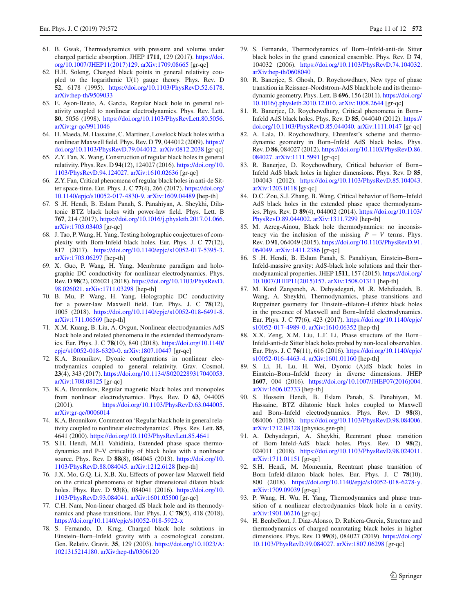- <span id="page-10-0"></span>61. B. Gwak, Thermodynamics with pressure and volume under charged particle absorption. JHEP **1711**, 129 (2017). [https://doi.](https://doi.org/10.1007/JHEP11(2017)129) [org/10.1007/JHEP11\(2017\)129.](https://doi.org/10.1007/JHEP11(2017)129) [arXiv:1709.08665](http://arxiv.org/abs/1709.08665) [gr-qc]
- <span id="page-10-1"></span>62. H.H. Soleng, Charged black points in general relativity coupled to the logarithmic U(1) gauge theory. Phys. Rev. D **52**, 6178 (1995). [https://doi.org/10.1103/PhysRevD.52.6178.](https://doi.org/10.1103/PhysRevD.52.6178) [arXiv:hep-th/9509033](http://arxiv.org/abs/hep-th/9509033)
- 63. E. Ayon-Beato, A. Garcia, Regular black hole in general relativity coupled to nonlinear electrodynamics. Phys. Rev. Lett. **80**, 5056 (1998). [https://doi.org/10.1103/PhysRevLett.80.5056.](https://doi.org/10.1103/PhysRevLett.80.5056) [arXiv:gr-qc/9911046](http://arxiv.org/abs/gr-qc/9911046)
- 64. H. Maeda, M. Hassaine, C. Martinez, Lovelock black holes with a nonlinear Maxwell field. Phys. Rev. D **79**, 044012 (2009). [https://](https://doi.org/10.1103/PhysRevD.79.044012) [doi.org/10.1103/PhysRevD.79.044012.](https://doi.org/10.1103/PhysRevD.79.044012) [arXiv:0812.2038](http://arxiv.org/abs/0812.2038) [gr-qc]
- 65. Z.Y. Fan, X. Wang, Construction of regular black holes in general relativity. Phys. Rev. D **94**(12), 124027 (2016). [https://doi.org/10.](https://doi.org/10.1103/PhysRevD.94.124027) [1103/PhysRevD.94.124027.](https://doi.org/10.1103/PhysRevD.94.124027) [arXiv:1610.02636](http://arxiv.org/abs/1610.02636) [gr-qc]
- 66. Z.Y. Fan, Critical phenomena of regular black holes in anti-de Sitter space-time. Eur. Phys. J. C **77**(4), 266 (2017). [https://doi.org/](https://doi.org/10.1140/epjc/s10052-017-4830-9) [10.1140/epjc/s10052-017-4830-9.](https://doi.org/10.1140/epjc/s10052-017-4830-9) [arXiv:1609.04489](http://arxiv.org/abs/1609.04489) [hep-th]
- 67. S .H. Hendi, B. Eslam Panah, S. Panahiyan, A. Sheykhi, Dilatonic BTZ black holes with power-law field. Phys. Lett. B **767**, 214 (2017). [https://doi.org/10.1016/j.physletb.2017.01.066.](https://doi.org/10.1016/j.physletb.2017.01.066) [arXiv:1703.03403](http://arxiv.org/abs/1703.03403) [gr-qc]
- 68. J. Tao, P. Wang, H. Yang, Testing holographic conjectures of complexity with Born-Infeld black holes. Eur. Phys. J. C **77**(12), 817 (2017). [https://doi.org/10.1140/epjc/s10052-017-5395-3.](https://doi.org/10.1140/epjc/s10052-017-5395-3) [arXiv:1703.06297](http://arxiv.org/abs/1703.06297) [hep-th]
- 69. X. Guo, P. Wang, H. Yang, Membrane paradigm and holographic DC conductivity for nonlinear electrodynamics. Phys. Rev. D **98**(2), 026021 (2018). [https://doi.org/10.1103/PhysRevD.](https://doi.org/10.1103/PhysRevD.98.026021) [98.026021.](https://doi.org/10.1103/PhysRevD.98.026021) [arXiv:1711.03298](http://arxiv.org/abs/1711.03298) [hep-th]
- 70. B. Mu, P. Wang, H. Yang, Holographic DC conductivity for a power-law Maxwell field. Eur. Phys. J. C **78**(12), 1005 (2018). [https://doi.org/10.1140/epjc/s10052-018-6491-8.](https://doi.org/10.1140/epjc/s10052-018-6491-8) [arXiv:1711.06569](http://arxiv.org/abs/1711.06569) [hep-th]
- <span id="page-10-2"></span>71. X.M. Kuang, B. Liu, A. Ovgun, Nonlinear electrodynamics AdS black hole and related phenomena in the extended thermodynamics. Eur. Phys. J. C **78**(10), 840 (2018). [https://doi.org/10.1140/](https://doi.org/10.1140/epjc/s10052-018-6320-0) [epjc/s10052-018-6320-0.](https://doi.org/10.1140/epjc/s10052-018-6320-0) [arXiv:1807.10447](http://arxiv.org/abs/1807.10447) [gr-qc]
- <span id="page-10-3"></span>72. K.A. Bronnikov, Dyonic configurations in nonlinear electrodynamics coupled to general relativity. Grav. Cosmol. **23**(4), 343 (2017). [https://doi.org/10.1134/S0202289317040053.](https://doi.org/10.1134/S0202289317040053) [arXiv:1708.08125](http://arxiv.org/abs/1708.08125) [gr-qc]
- <span id="page-10-4"></span>73. K.A. Bronnikov, Regular magnetic black holes and monopoles from nonlinear electrodynamics. Phys. Rev. D **63**, 044005 (2001). [https://doi.org/10.1103/PhysRevD.63.044005.](https://doi.org/10.1103/PhysRevD.63.044005) [arXiv:gr-qc/0006014](http://arxiv.org/abs/gr-qc/0006014)
- <span id="page-10-5"></span>74. K.A. Bronnikov, Comment on 'Regular black hole in general relativity coupled to nonlinear electrodynamics'. Phys. Rev. Lett. **85**, 4641 (2000). <https://doi.org/10.1103/PhysRevLett.85.4641>
- <span id="page-10-6"></span>75. S.H. Hendi, M.H. Vahidinia, Extended phase space thermodynamics and P–V criticality of black holes with a nonlinear source. Phys. Rev. D **88**(8), 084045 (2013). [https://doi.org/10.](https://doi.org/10.1103/PhysRevD.88.084045) [1103/PhysRevD.88.084045.](https://doi.org/10.1103/PhysRevD.88.084045) [arXiv:1212.6128](http://arxiv.org/abs/1212.6128) [hep-th]
- <span id="page-10-7"></span>76. J.X. Mo, G.Q. Li, X.B. Xu, Effects of power-law Maxwell field on the critical phenomena of higher dimensional dilaton black holes. Phys. Rev. D **93**(8), 084041 (2016). [https://doi.org/10.](https://doi.org/10.1103/PhysRevD.93.084041) [1103/PhysRevD.93.084041.](https://doi.org/10.1103/PhysRevD.93.084041) [arXiv:1601.05500](http://arxiv.org/abs/1601.05500) [gr-qc]
- <span id="page-10-8"></span>77. C.H. Nam, Non-linear charged dS black hole and its thermodynamics and phase transitions. Eur. Phys. J. C **78**(5), 418 (2018). <https://doi.org/10.1140/epjc/s10052-018-5922-x>
- <span id="page-10-9"></span>78. S. Fernando, D. Krug, Charged black hole solutions in Einstein–Born–Infeld gravity with a cosmological constant. Gen. Relativ. Gravit. **35**, 129 (2003). [https://doi.org/10.1023/A:](https://doi.org/10.1023/A:1021315214180) [1021315214180.](https://doi.org/10.1023/A:1021315214180) [arXiv:hep-th/0306120](http://arxiv.org/abs/hep-th/0306120)
- 79. S. Fernando, Thermodynamics of Born–Infeld-anti-de Sitter black holes in the grand canonical ensemble. Phys. Rev. D **74**, 104032 (2006). [https://doi.org/10.1103/PhysRevD.74.104032.](https://doi.org/10.1103/PhysRevD.74.104032) [arXiv:hep-th/0608040](http://arxiv.org/abs/hep-th/0608040)
- 80. R. Banerjee, S. Ghosh, D. Roychowdhury, New type of phase transition in Reissner–Nordstrom-AdS black hole and its thermodynamic geometry. Phys. Lett. B **696**, 156 (2011). [https://doi.org/](https://doi.org/10.1016/j.physletb.2010.12.010) [10.1016/j.physletb.2010.12.010.](https://doi.org/10.1016/j.physletb.2010.12.010) [arXiv:1008.2644](http://arxiv.org/abs/1008.2644) [gr-qc]
- 81. R. Banerjee, D. Roychowdhury, Critical phenomena in Born– Infeld AdS black holes. Phys. Rev. D **85**, 044040 (2012). [https://](https://doi.org/10.1103/PhysRevD.85.044040) [doi.org/10.1103/PhysRevD.85.044040.](https://doi.org/10.1103/PhysRevD.85.044040) [arXiv:1111.0147](http://arxiv.org/abs/1111.0147) [gr-qc]
- 82. A. Lala, D. Roychowdhury, Ehrenfest's scheme and thermodynamic geometry in Born–Infeld AdS black holes. Phys. Rev. D **86**, 084027 (2012). [https://doi.org/10.1103/PhysRevD.86.](https://doi.org/10.1103/PhysRevD.86.084027) [084027.](https://doi.org/10.1103/PhysRevD.86.084027) [arXiv:1111.5991](http://arxiv.org/abs/1111.5991) [gr-qc]
- 83. R. Banerjee, D. Roychowdhury, Critical behavior of Born– Infeld AdS black holes in higher dimensions. Phys. Rev. D **85**, 104043 (2012). [https://doi.org/10.1103/PhysRevD.85.104043.](https://doi.org/10.1103/PhysRevD.85.104043) [arXiv:1203.0118](http://arxiv.org/abs/1203.0118) [gr-qc]
- 84. D.C. Zou, S.J. Zhang, B. Wang, Critical behavior of Born–Infeld AdS black holes in the extended phase space thermodynamics. Phys. Rev. D **89**(4), 044002 (2014). [https://doi.org/10.1103/](https://doi.org/10.1103/PhysRevD.89.044002) [PhysRevD.89.044002.](https://doi.org/10.1103/PhysRevD.89.044002) [arXiv:1311.7299](http://arxiv.org/abs/1311.7299) [hep-th]
- 85. M. Azreg-Ainou, Black hole thermodynamics: no inconsistency via the inclusion of the missing  $P - V$  terms. Phys. Rev. D **91**, 064049 (2015). [https://doi.org/10.1103/PhysRevD.91.](https://doi.org/10.1103/PhysRevD.91.064049) [064049.](https://doi.org/10.1103/PhysRevD.91.064049) [arXiv:1411.2386](http://arxiv.org/abs/1411.2386) [gr-qc]
- 86. S .H. Hendi, B. Eslam Panah, S. Panahiyan, Einstein–Born– Infeld-massive gravity: AdS-black hole solutions and their thermodynamical properties. JHEP **1511**, 157 (2015). [https://doi.org/](https://doi.org/10.1007/JHEP11(2015)157) [10.1007/JHEP11\(2015\)157.](https://doi.org/10.1007/JHEP11(2015)157) [arXiv:1508.01311](http://arxiv.org/abs/1508.01311) [hep-th]
- 87. M. Kord Zangeneh, A. Dehyadegari, M .R. Mehdizadeh, B. Wang, A. Sheykhi, Thermodynamics, phase transitions and Ruppeiner geometry for Einstein–dilaton–Lifshitz black holes in the presence of Maxwell and Born–Infeld electrodynamics. Eur. Phys. J. C **77**(6), 423 (2017). [https://doi.org/10.1140/epjc/](https://doi.org/10.1140/epjc/s10052-017-4989-0) [s10052-017-4989-0.](https://doi.org/10.1140/epjc/s10052-017-4989-0) [arXiv:1610.06352](http://arxiv.org/abs/1610.06352) [hep-th]
- 88. X.X. Zeng, X.M. Liu, L.F. Li, Phase structure of the Born– Infeld-anti-de Sitter black holes probed by non-local observables. Eur. Phys. J. C **76**(11), 616 (2016). [https://doi.org/10.1140/epjc/](https://doi.org/10.1140/epjc/s10052-016-4463-4) [s10052-016-4463-4.](https://doi.org/10.1140/epjc/s10052-016-4463-4) [arXiv:1601.01160](http://arxiv.org/abs/1601.01160) [hep-th]
- 89. S. Li, H. Lu, H. Wei, Dyonic (A)dS black holes in Einstein–Born–Infeld theory in diverse dimensions. JHEP **1607**, 004 (2016). [https://doi.org/10.1007/JHEP07\(2016\)004.](https://doi.org/10.1007/JHEP07(2016)004) [arXiv:1606.02733](http://arxiv.org/abs/1606.02733) [hep-th]
- 90. S. Hossein Hendi, B. Eslam Panah, S. Panahiyan, M. Hassaine, BTZ dilatonic black holes coupled to Maxwell and Born–Infeld electrodynamics. Phys. Rev. D **98**(8), 084006 (2018). [https://doi.org/10.1103/PhysRevD.98.084006.](https://doi.org/10.1103/PhysRevD.98.084006) [arXiv:1712.04328](http://arxiv.org/abs/1712.04328) [physics.gen-ph]
- 91. A. Dehyadegari, A. Sheykhi, Reentrant phase transition of Born–Infeld-AdS black holes. Phys. Rev. D **98**(2), 024011 (2018). [https://doi.org/10.1103/PhysRevD.98.024011.](https://doi.org/10.1103/PhysRevD.98.024011) [arXiv:1711.01151](http://arxiv.org/abs/1711.01151) [gr-qc]
- <span id="page-10-10"></span>92. S.H. Hendi, M. Momennia, Reentrant phase transition of Born–Infeld-dilaton black holes. Eur. Phys. J. C **78**(10), 800 (2018). [https://doi.org/10.1140/epjc/s10052-018-6278-y.](https://doi.org/10.1140/epjc/s10052-018-6278-y) [arXiv:1709.09039](http://arxiv.org/abs/1709.09039) [gr-qc]
- <span id="page-10-11"></span>93. P. Wang, H. Wu, H. Yang, Thermodynamics and phase transition of a nonlinear electrodynamics black hole in a cavity. [arXiv:1901.06216](http://arxiv.org/abs/1901.06216) [gr-qc]
- <span id="page-10-12"></span>94. H. Benbellout, J. Diaz-Alonso, D. Rubiera-Garcia, Structure and thermodynamics of charged nonrotating black holes in higher dimensions. Phys. Rev. D **99**(8), 084027 (2019). [https://doi.org/](https://doi.org/10.1103/PhysRevD.99.084027) [10.1103/PhysRevD.99.084027.](https://doi.org/10.1103/PhysRevD.99.084027) [arXiv:1807.06298](http://arxiv.org/abs/1807.06298) [gr-qc]